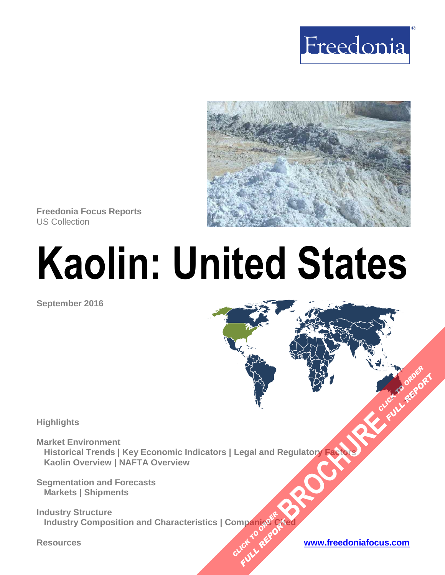



**Freedonia Focus Reports** US Collection

# **Kaolin: United States**

**September 2016**

**Highlights**

**Market Environment Historical Trends | Key Economic Indicators | Legal and Regulatory Factors Kaolin Overview | NAFTA Overview** Regulatory Fatable Regulatory Fatable

**Segmentation and Forecasts Markets | Shipments**

**Industry Structure Industry Composition and Characteristics | Companies Cited OMPan<sub>dRef</sub>R Plance City** 

**FULL REPORT**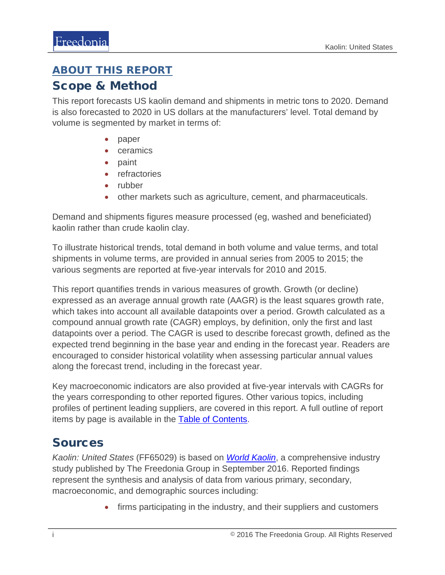## <span id="page-1-0"></span>ABOUT THIS REPORT

## Scope & Method

This report forecasts US kaolin demand and shipments in metric tons to 2020. Demand is also forecasted to 2020 in US dollars at the manufacturers' level. Total demand by volume is segmented by market in terms of:

- paper
- ceramics
- paint
- refractories
- rubber
- other markets such as agriculture, cement, and pharmaceuticals.

Demand and shipments figures measure processed (eg, washed and beneficiated) kaolin rather than crude kaolin clay.

To illustrate historical trends, total demand in both volume and value terms, and total shipments in volume terms, are provided in annual series from 2005 to 2015; the various segments are reported at five-year intervals for 2010 and 2015.

This report quantifies trends in various measures of growth. Growth (or decline) expressed as an average annual growth rate (AAGR) is the least squares growth rate, which takes into account all available datapoints over a period. Growth calculated as a compound annual growth rate (CAGR) employs, by definition, only the first and last datapoints over a period. The CAGR is used to describe forecast growth, defined as the expected trend beginning in the base year and ending in the forecast year. Readers are encouraged to consider historical volatility when assessing particular annual values along the forecast trend, including in the forecast year.

Key macroeconomic indicators are also provided at five-year intervals with CAGRs for the years corresponding to other reported figures. Other various topics, including profiles of pertinent leading suppliers, are covered in this report. A full outline of report items by page is available in the [Table of Contents.](#page-3-0)

## **Sources**

*Kaolin: United States* (FF65029) is based on *[World Kaolin](http://www.freedoniagroup.com/DocumentDetails.aspx?ReferrerId=FL-FOCUS&studyid=3462)*, a comprehensive industry study published by The Freedonia Group in September 2016. Reported findings represent the synthesis and analysis of data from various primary, secondary, macroeconomic, and demographic sources including:

• firms participating in the industry, and their suppliers and customers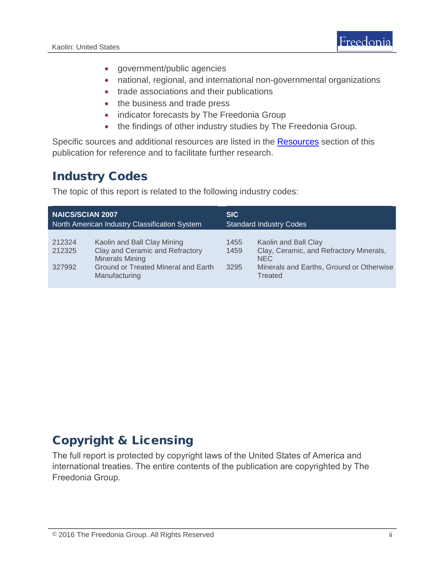

- government/public agencies
- national, regional, and international non-governmental organizations
- trade associations and their publications
- the business and trade press
- indicator forecasts by The Freedonia Group
- the findings of other industry studies by The Freedonia Group.

Specific sources and additional resources are listed in the **Resources** section of this publication for reference and to facilitate further research.

## Industry Codes

The topic of this report is related to the following industry codes:

| <b>NAICS/SCIAN 2007</b>                       |                                                                                                                                                         | SIC.                           |                                                                                                                                      |
|-----------------------------------------------|---------------------------------------------------------------------------------------------------------------------------------------------------------|--------------------------------|--------------------------------------------------------------------------------------------------------------------------------------|
| North American Industry Classification System |                                                                                                                                                         | <b>Standard Industry Codes</b> |                                                                                                                                      |
| 212324<br>212325<br>327992                    | Kaolin and Ball Clay Mining<br>Clay and Ceramic and Refractory<br><b>Minerals Mining</b><br><b>Ground or Treated Mineral and Earth</b><br>Manufacturing | 1455<br>1459<br>3295           | Kaolin and Ball Clay<br>Clay, Ceramic, and Refractory Minerals,<br><b>NEC</b><br>Minerals and Earths, Ground or Otherwise<br>Treated |

## Copyright & Licensing

The full report is protected by copyright laws of the United States of America and international treaties. The entire contents of the publication are copyrighted by The Freedonia Group.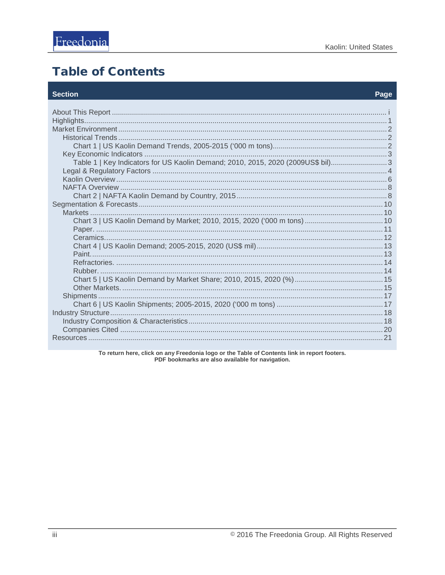## <span id="page-3-0"></span>**Table of Contents**

### **Section**

#### Page

| Table 1   Key Indicators for US Kaolin Demand; 2010, 2015, 2020 (2009US\$ bil)3 |  |  |
|---------------------------------------------------------------------------------|--|--|
|                                                                                 |  |  |
|                                                                                 |  |  |
|                                                                                 |  |  |
|                                                                                 |  |  |
|                                                                                 |  |  |
|                                                                                 |  |  |
|                                                                                 |  |  |
|                                                                                 |  |  |
|                                                                                 |  |  |
|                                                                                 |  |  |
|                                                                                 |  |  |
|                                                                                 |  |  |
|                                                                                 |  |  |
|                                                                                 |  |  |
|                                                                                 |  |  |
|                                                                                 |  |  |
|                                                                                 |  |  |
|                                                                                 |  |  |
|                                                                                 |  |  |
|                                                                                 |  |  |
|                                                                                 |  |  |

To return here, click on any Freedonia logo or the Table of Contents link in report footers.<br>PDF bookmarks are also available for navigation.